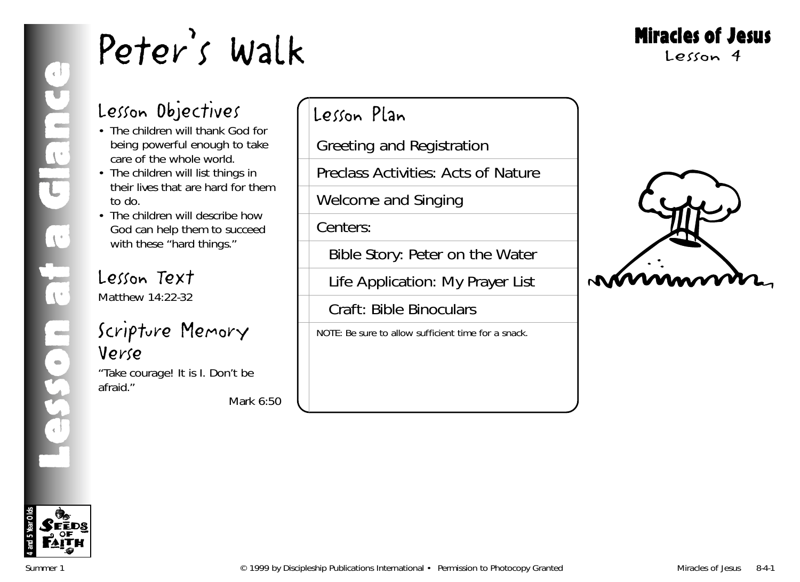### Lesson Objectives

- The children will thank God for being powerful enough to take care of the whole world.
- The children will list things in their lives that are hard for them to do.
- The children will describe how God can help them to succeed with these "hard things."

### Lesson Text

Matthew 14:22-32

#### Scripture Memory Verse

"Take courage! It is I. Don't be afraid."

*Mark 6:50*

### Lesson Plan

Greeting and Registration

Preclass Activities: Acts of Nature

Welcome and Singing

Centers:

Bible Story: Peter on the Water

Life Application: My Prayer List

Craft: Bible Binoculars

NOTE: Be sure to allow sufficient time for a snack.



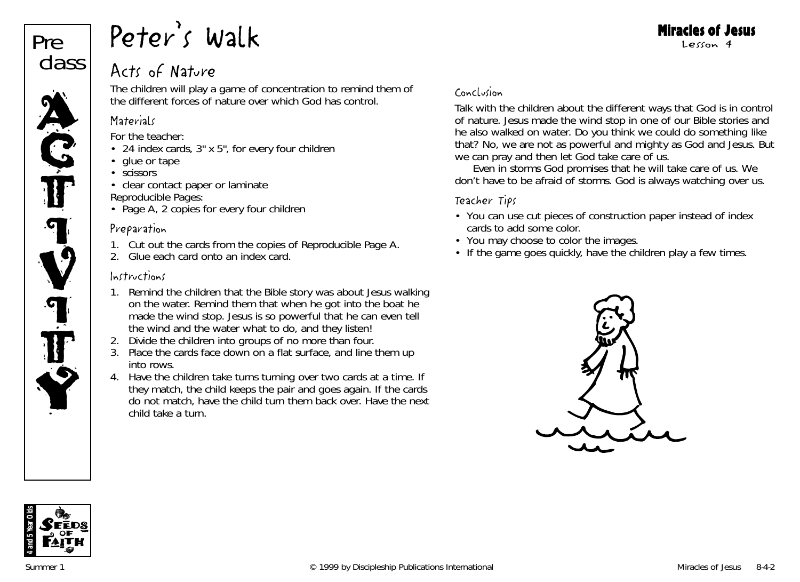

#### Acts of Nature

The children will play a game of concentration to remind them of the different forces of nature over which God has control.

#### **Materials**

*For the teacher:*

- 24 index cards, 3" x 5", for every four children
- glue or tape
- scissors
- clear contact paper or laminate *Reproducible Pages:*
- Page A, 2 copies for every four children

#### Preparation

- 1. Cut out the cards from the copies of Reproducible Page A.
- 2. Glue each card onto an index card.

#### Instructions

- 1. Remind the children that the Bible story was about Jesus walking on the water. Remind them that when he got into the boat he made the wind stop. *Jesus is so powerful that he can even tell the wind and the water what to do, and they listen!*
- 2. Divide the children into groups of no more than four.
- 3. Place the cards face down on a flat surface, and line them up into rows.
- 4. Have the children take turns turning over two cards at a time. If they match, the child keeps the pair and goes again. If the cards do not match, have the child turn them back over. Have the next child take a turn.

#### Conclusion

Talk with the children about the different ways that God is in control of nature. *Jesus made the wind stop in one of our Bible stories and he also walked on water. Do you think we could do something like that? No, we are not as powerful and mighty as God and Jesus. But we can pray and then let God take care of us.*

*Even in storms God promises that he will take care of us. We don't have to be afraid of storms. God is always watching over us.*

#### Teacher Tips

- You can use cut pieces of construction paper instead of index cards to add some color.
- You may choose to color the images.
- If the game goes quickly, have the children play a few times.



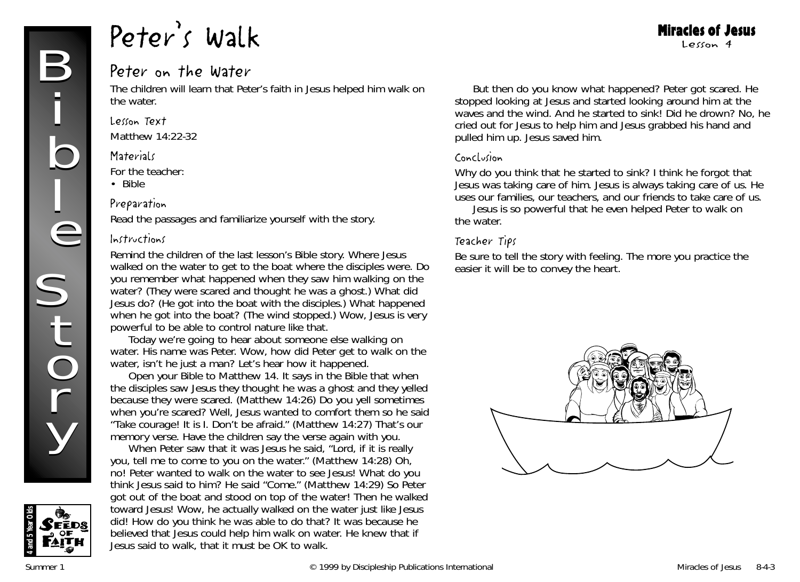#### Miracles of Jesus Lesson 4

#### Peter on the Water

The children will learn that Peter's faith in Jesus helped him walk on the water.

#### Lesson Text

Matthew 14:22-32

#### **Materials**

*For the teacher:*

• Bible

#### Preparation

Read the passages and familiarize yourself with the story.

#### Instructions

Remind the children of the last lesson's Bible story. Where Jesus walked on the water to get to the boat where the disciples were. *Do you remember what happened when they saw him walking on the water?* (They were scared and thought he was a ghost.) *What did Jesus do?* (He got into the boat with the disciples.) *What happened when he got into the boat?* (The wind stopped.) *Wow, Jesus is very powerful to be able to control nature like that.*

*Today we're going to hear about someone else walking on water. His name was Peter. Wow, how did Peter get to walk on the water, isn't he just a man? Let's hear how it happened.*

Open your Bible to Matthew 14. *It says in the Bible that when the disciples saw Jesus they thought he was a ghost and they yelled because they were scared. (Matthew 14:26) Do you yell sometimes when you're scared? Well, Jesus wanted to comfort them so he said "Take courage! It is I. Don't be afraid." (Matthew 14:27) That's our memory verse.* Have the children say the verse again with you.

*When Peter saw that it was Jesus he said, "Lord, if it is really you, tell me to come to you on the water." (Matthew 14:28) Oh, no! Peter wanted to walk on the water to see Jesus! What do you think Jesus said to him? He said "Come." (Matthew 14:29) So Peter got out of the boat and stood on top of the water! Then he walked toward Jesus! Wow, he actually walked on the water just like Jesus did! How do you think he was able to do that? It was because he believed that Jesus could help him walk on water. He knew that if Jesus said to walk, that it must be OK to walk.*

*But then do you know what happened? Peter got scared. He stopped looking at Jesus and started looking around him at the waves and the wind. And he started to sink! Did he drown? No, he cried out for Jesus to help him and Jesus grabbed his hand and pulled him up. Jesus saved him.*

#### Conclusion

*Why do you think that he started to sink? I think he forgot that Jesus was taking care of him. Jesus is always taking care of us. He uses our families, our teachers, and our friends to take care of us.*

*Jesus is so powerful that he even helped Peter to walk on the water.* 

#### Teacher Tips

Be sure to tell the story with feeling. The more you practice the easier it will be to convey the heart.



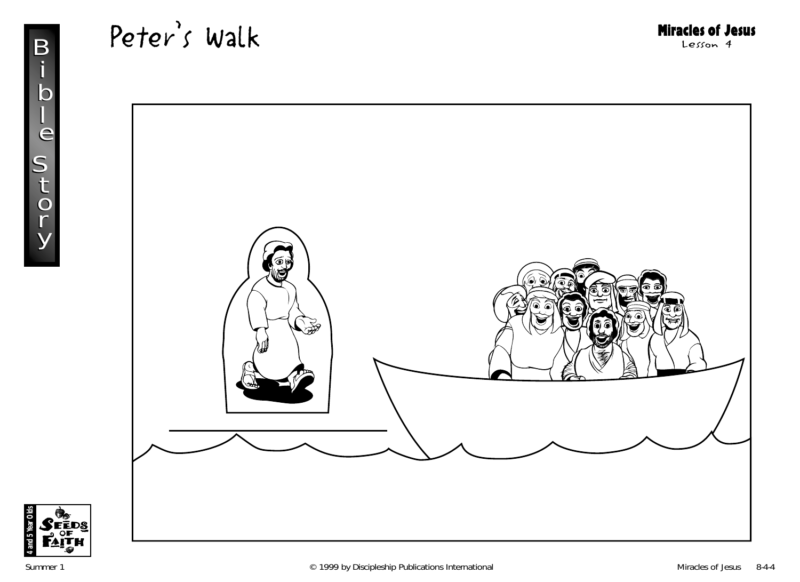



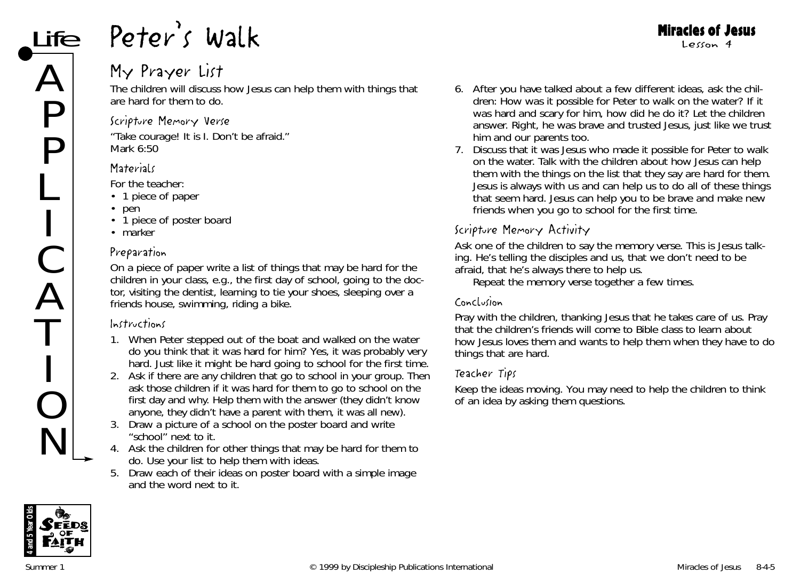### My Prayer List

The children will discuss how Jesus can help them with things that are hard for them to do.

#### Scripture Memory Verse

"Take courage! It is I. Don't be afraid." *Mark 6:50*

#### **Materials**

*For the teacher:*

- 1 piece of paper
- pen
- 1 piece of poster board
- marker

#### Preparation

On a piece of paper write a list of things that may be hard for the children in your class, e.g., the first day of school, going to the doctor, visiting the dentist, learning to tie your shoes, sleeping over a friends house, swimming, riding a bike.

#### Instructions

- 1. *When Peter stepped out of the boat and walked on the water do you think that it was hard for him? Yes, it was probably very hard. Just like it might be hard going to school for the first time.*
- 2. Ask if there are any children that go to school in your group. Then ask those children if it was hard for them to go to school on the first day and why. Help them with the answer (they didn't know anyone, they didn't have a parent with them, it was all new).
- 3. Draw a picture of a school on the poster board and write "school" next to it.
- 4. Ask the children for other things that may be hard for them to do. Use your list to help them with ideas.
- 5. Draw each of their ideas on poster board with a simple image and the word next to it.

6. After you have talked about a few different ideas, ask the children: *How was it possible for Peter to walk on the water? If it was hard and scary for him, how did he do it?* Let the children answer. *Right, he was brave and trusted Jesus, just like we trust him and our parents too.*

Miracles of Jesus Lesson 4

7. Discuss that it was Jesus who made it possible for Peter to walk on the water. Talk with the children about how Jesus can help them with the things on the list that they say are hard for them. *Jesus is always with us and can help us to do all of these things that seem hard. Jesus can help you to be brave and make new friends when you go to school for the first time.*

#### Scripture Memory Activity

Ask one of the children to say the memory verse. *This is Jesus talking. He's telling the disciples and us, that we don't need to be afraid, that he's always there to help us.*

Repeat the memory verse together a few times.

#### Conclusion

Pray with the children, thanking Jesus that he takes care of us. Pray that the children's friends will come to Bible class to learn about how Jesus loves them and wants to help them when they have to do things that are hard.

#### Teacher Tips

Keep the ideas moving. You may need to help the children to think of an idea by asking them questions.

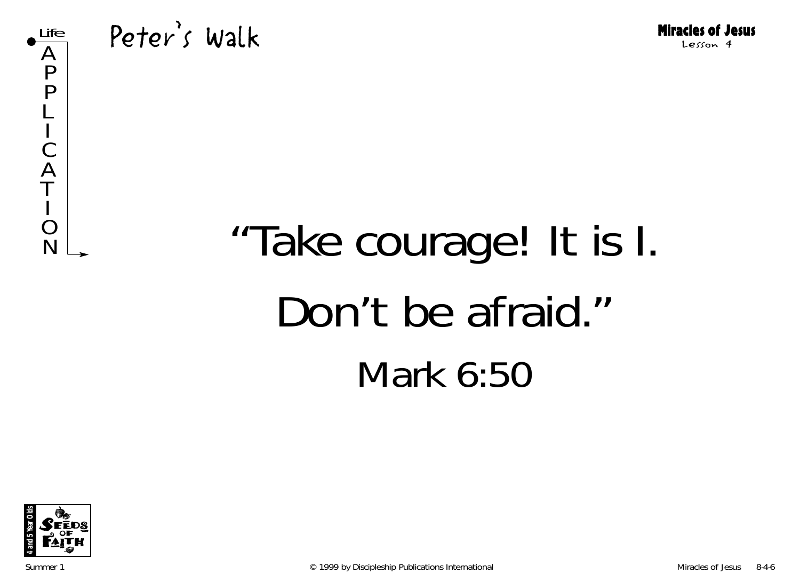

# $R_{\scriptscriptstyle\rm N}^{\scriptscriptstyle\rm O}$  "Take courage! It is I. Don't be afraid." Mark 6:50

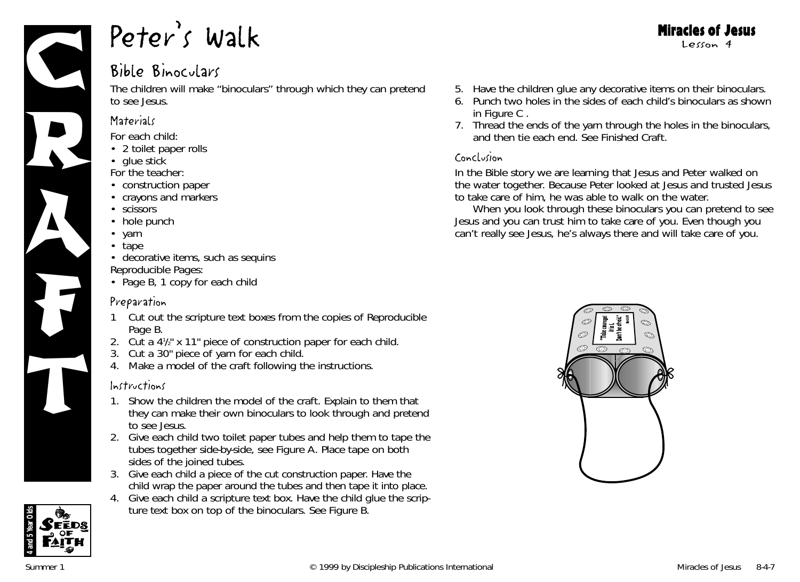

#### Bible Binoculars

The children will make "binoculars" through which they can pretend to see Jesus.

#### **Materials**

*For each child:*

- 2 toilet paper rolls
- glue stick

*For the teacher:*

- construction paper
- crayons and markers
- scissors
- hole punch
- yarn
- tape
- decorative items, such as sequins *Reproducible Pages:*
- Page B, 1 copy for each child

#### Preparation

- 1 Cut out the scripture text boxes from the copies of Reproducible Page B.
- 2. Cut a 41/2" x 11" piece of construction paper for each child.
- 3. Cut a 30" piece of yarn for each child.
- 4. Make a model of the craft following the instructions.

#### Instructions

- 1. Show the children the model of the craft. Explain to them that they can make their own binoculars to look through and pretend to see Jesus.
- 2. Give each child two toilet paper tubes and help them to tape the tubes together side-by-side, see Figure A. Place tape on both sides of the joined tubes.
- 3. Give each child a piece of the cut construction paper. Have the child wrap the paper around the tubes and then tape it into place.
- 4. Give each child a scripture text box. Have the child glue the scripture text box on top of the binoculars. See Figure B.
- 5. Have the children glue any decorative items on their binoculars.
- 6. Punch two holes in the sides of each child's binoculars as shown in Figure C.
- 7. Thread the ends of the yarn through the holes in the binoculars, and then tie each end. See Finished Craft.

#### Conclusion

*In the Bible story we are learning that Jesus and Peter walked on the water together. Because Peter looked at Jesus and trusted Jesus to take care of him, he was able to walk on the water.*

*When you look through these binoculars you can pretend to see Jesus and you can trust him to take care of you. Even though you can't really see Jesus, he's always there and will take care of you.*



**4 and 5 Year Olds**

#### Miracles of Jesus Lesson 4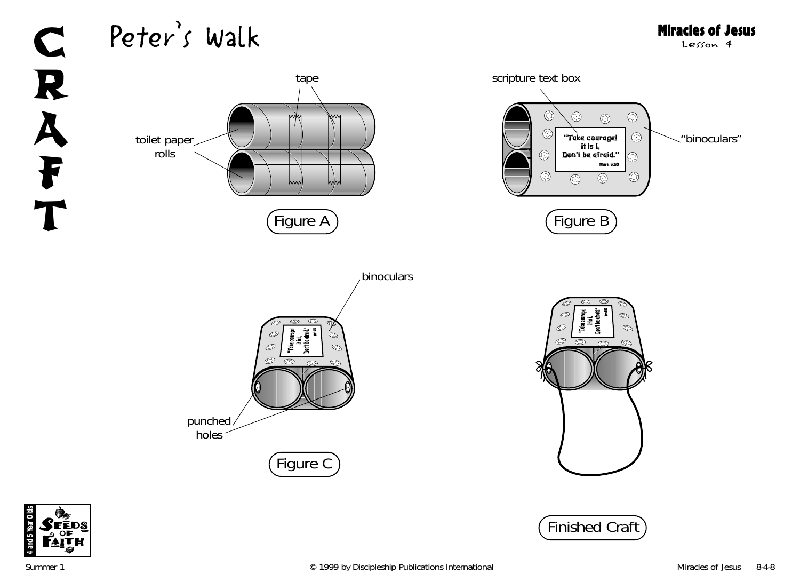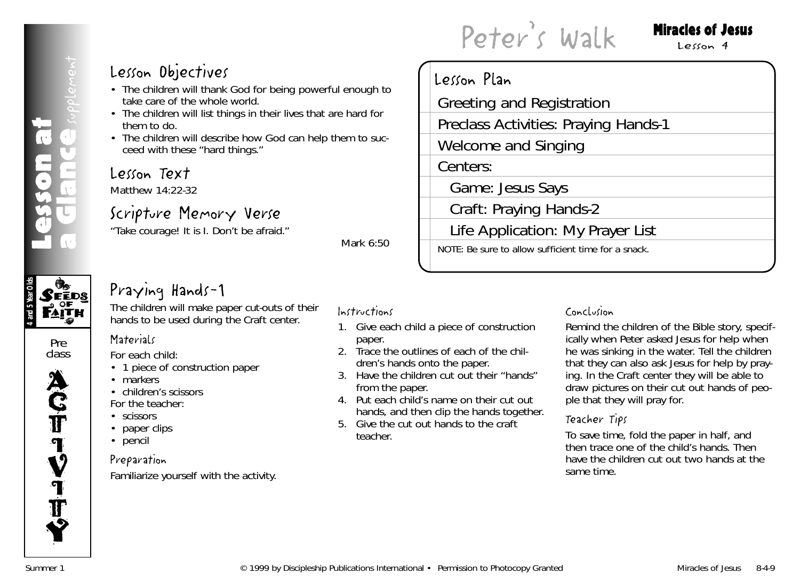#### Miracles of Jesus

 $Lecon4$ 

#### Lesson Objectives

- The children will thank God for being powerful enough to take care of the whole world.
- The children will list things in their lives that are hard for them to do.
- The children will describe how God can help them to succeed with these "hard things."

#### Lesson Text

Matthew 14:22-32

#### Scripture Memory Verse

"Take courage! It is I. Don't be afraid."

*Mark 6:50*

#### Lesson Plan Greeting and Registration Preclass Activities: Praying Hands-1 Welcome and Singing Centers: Game: Jesus Says Craft: Praying Hands-2 Life Application: My Prayer List NOTE: Be sure to allow sufficient time for a snack.

Peter's Walk

### **4 and 5 Year Olds**  $\mathcal{S}$ eēds

#### Pre class

**ACT IV** I **T** Y

#### Praying Hands-1

The children will make paper cut-outs of their hands to be used during the Craft center.

#### **Materials**

*For each child:*

- 1 piece of construction paper
- markers
- children's scissors

*For the teacher:*

- scissors
- paper clips
- pencil

#### Preparation

Familiarize yourself with the activity.

#### Instructions

- 1. Give each child a piece of construction paper.
- 2. Trace the outlines of each of the children's hands onto the paper.
- 3. Have the children cut out their "hands" from the paper.
- 4. Put each child's name on their cut out hands, and then clip the hands together.
- 5. Give the cut out hands to the craft teacher.

#### Conclusion

Remind the children of the Bible story, specifically when Peter asked Jesus for help when he was sinking in the water. Tell the children that they can also ask Jesus for help by praying. In the Craft center they will be able to draw pictures on their cut out hands of people that they will pray for.

#### Teacher Tips

To save time, fold the paper in half, and then trace one of the child's hands. Then have the children cut out two hands at the same time.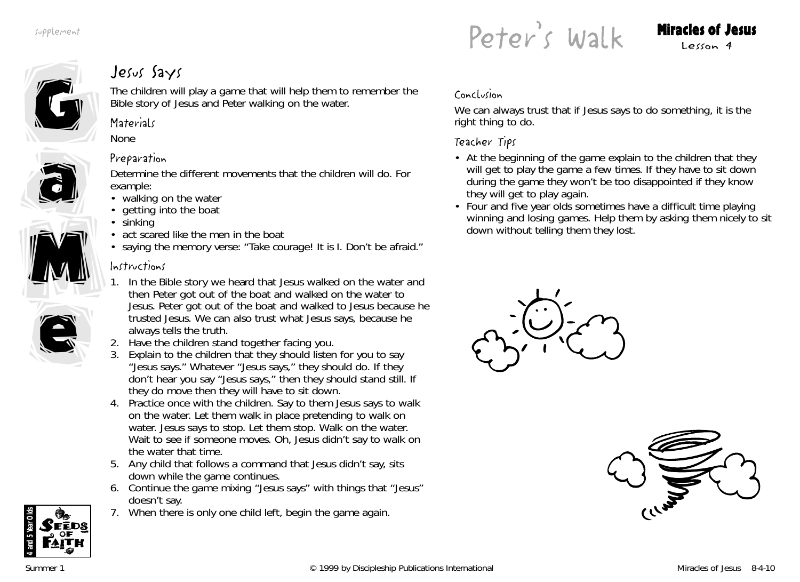Peter's Walk Miracles of Jesus

G G

### Jesus Says

The children will play a game that will help them to remember the Bible story of Jesus and Peter walking on the water.

#### **Materials**

None



#### Preparation

Determine the different movements that the children will do. For example:

- walking on the water
- getting into the boat
- sinking
- act scared like the men in the boat
- saying the memory verse: "Take courage! It is I. Don't be afraid."

#### Instructions

- 1. *In the Bible story we heard that Jesus walked on the water and then Peter got out of the boat and walked on the water to Jesus. Peter got out of the boat and walked to Jesus because he trusted Jesus. We can also trust what Jesus says, because he always tells the truth.*
- 2. Have the children stand together facing you.
- 3. Explain to the children that they should listen for you to say "Jesus says." Whatever "Jesus says," they should do. If they don't hear you say "Jesus says," then they should stand still. If they do move then they will have to sit down.
- 4. Practice once with the children. Say to them *Jesus says to walk on the water.* Let them walk in place pretending to walk on water. *Jesus says to stop.* Let them stop. *Walk on the water.* Wait to see if someone moves. *Oh, Jesus didn't say to walk on the water that time.*
- 5. Any child that follows a command that Jesus didn't say, sits down while the game continues.
- 6. Continue the game mixing "Jesus says" with things that "Jesus" doesn't say.
- 7. When there is only one child left, begin the game again.

#### Conclusion

*We can always trust that if Jesus says to do something, it is the right thing to do.*

#### Teacher Tips

- At the beginning of the game explain to the children that they will get to play the game a few times. If they have to sit down during the game they won't be too disappointed if they know they will get to play again.
- Four and five year olds sometimes have a difficult time playing winning and losing games. Help them by asking them nicely to sit down without telling them they lost.







e

e

M

M

a

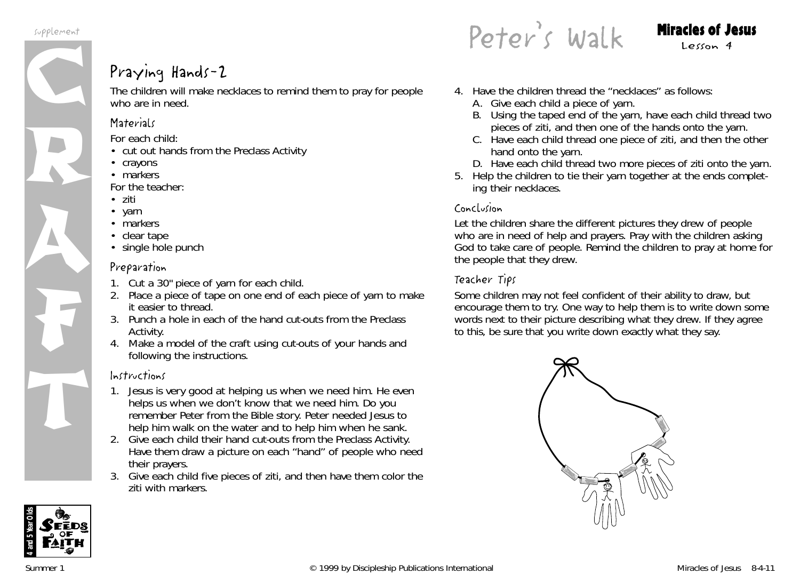

#### Praying Hands-2

The children will make necklaces to remind them to pray for people who are in need.

#### **Materials**

*For each child:*

- cut out hands from the Preclass Activity
- crayons
- markers

*For the teacher:*

- ziti
- yarn
- markers
- clear tape
- single hole punch

#### Preparation

- 1. Cut a 30" piece of yarn for each child.
- 2. Place a piece of tape on one end of each piece of yarn to make it easier to thread.
- 3. Punch a hole in each of the hand cut-outs from the Preclass Activity.
- 4. Make a model of the craft using cut-outs of your hands and following the instructions.

#### Instructions

- 1. *Jesus is very good at helping us when we need him. He even helps us when we don't know that we need him. Do you remember Peter from the Bible story. Peter needed Jesus to help him walk on the water and to help him when he sank.*
- 2. Give each child their hand cut-outs from the Preclass Activity. Have them draw a picture on each "hand" of people who need their prayers.
- 3. Give each child five pieces of ziti, and then have them color the ziti with markers.

Peter's Walk Miracles of Jesus

- 4. Have the children thread the "necklaces" as follows:
	- A. Give each child a piece of yarn.
	- B. Using the taped end of the yarn, have each child thread two pieces of ziti, and then one of the hands onto the yarn.
	- C. Have each child thread one piece of ziti, and then the other hand onto the yarn.
	- D. Have each child thread two more pieces of ziti onto the yarn.
- 5. Help the children to tie their yarn together at the ends completing their necklaces.

#### Conclusion

Let the children share the different pictures they drew of people who are in need of help and prayers. Pray with the children asking God to take care of people. Remind the children to pray at home for the people that they drew.

#### Teacher Tips

Some children may not feel confident of their ability to draw, but encourage them to try. One way to help them is to write down some words next to their picture describing what they drew. If they agree to this, be sure that you write down exactly what they say.



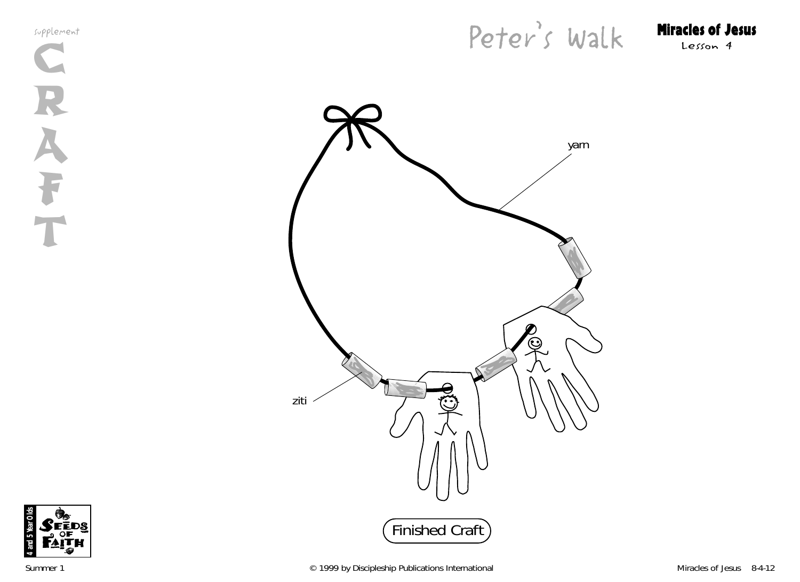supplement





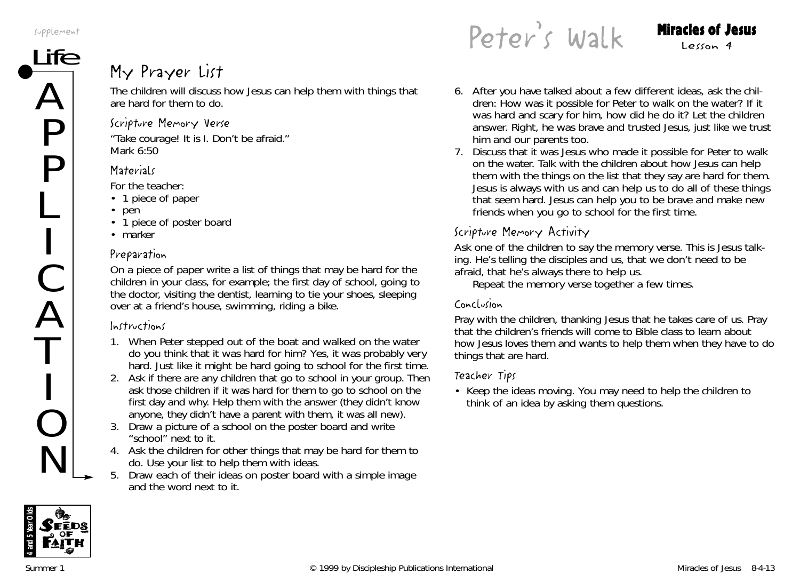supplement

# ${\sf \overline{He}}$  My Prayer List

The children will discuss how Jesus can help them with things that are hard for them to do.

#### Scripture Memory Verse

"Take courage! It is I. Don't be afraid." *Mark 6:50*

#### **Materials**

*For the teacher:*

- 1 piece of paper
- pen
- 1 piece of poster board
- marker

#### Preparation

On a piece of paper write a list of things that may be hard for the children in your class, for example; the first day of school, going to the doctor, visiting the dentist, learning to tie your shoes, sleeping over at a friend's house, swimming, riding a bike.

#### Instructions

- 1. *When Peter stepped out of the boat and walked on the water do you think that it was hard for him? Yes, it was probably very hard. Just like it might be hard going to school for the first time.*
- 2. Ask if there are any children that go to school in your group. Then ask those children if it was hard for them to go to school on the first day and why. Help them with the answer (they didn't know anyone, they didn't have a parent with them, it was all new).
- 3. Draw a picture of a school on the poster board and write "school" next to it.
- 4. Ask the children for other things that may be hard for them to do. Use your list to help them with ideas.
- 5. Draw each of their ideas on poster board with a simple image and the word next to it.

Peter's Walk Miracles of Jesus

- 6. After you have talked about a few different ideas, ask the children: *How was it possible for Peter to walk on the water? If it was hard and scary for him, how did he do it?* Let the children answer. *Right, he was brave and trusted Jesus, just like we trust him and our parents too.*
- 7. Discuss that it was Jesus who made it possible for Peter to walk on the water. Talk with the children about how Jesus can help them with the things on the list that they say are hard for them. *Jesus is always with us and can help us to do all of these things that seem hard. Jesus can help you to be brave and make new friends when you go to school for the first time.*

#### Scripture Memory Activity

Ask one of the children to say the memory verse. *This is Jesus talking. He's telling the disciples and us, that we don't need to be afraid, that he's always there to help us.*

Repeat the memory verse together a few times.

#### Conclusion

Pray with the children, thanking Jesus that he takes care of us. Pray that the children's friends will come to Bible class to learn about how Jesus loves them and wants to help them when they have to do things that are hard.

#### Teacher Tips

• Keep the ideas moving. You may need to help the children to think of an idea by asking them questions.

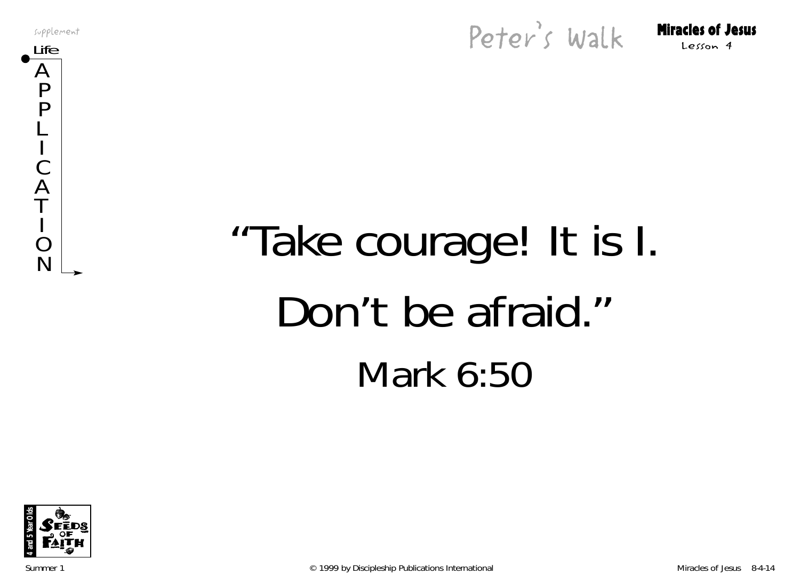supplement





# $N$   $\begin{bmatrix} 1 \\ 2 \\ 3 \end{bmatrix}$  "Take courage! It is I. Don't be afraid." Mark 6:50



Summer 1 **Example 2** C 1999 by Discipleship Publications International Miracles of Jesus 8-4-14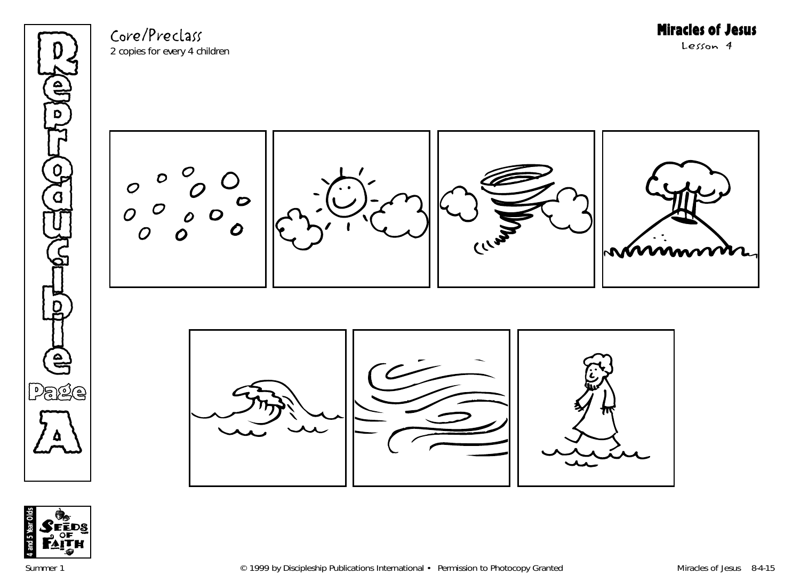

Core/Preclass 2 copies for every 4 children

D  $\mathcal C$  $\boldsymbol{\varphi}$  $\Omega$  $\boldsymbol{O}$ CERVIS 0



Miracles of Jesus

Lesson 4